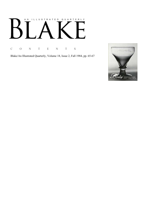# AN ILLUSTRATED QUARTERLY  $\boldsymbol{\mathsf{B}}$  $\begin{bmatrix} 1 & 1 \\ 1 & 1 \end{bmatrix}$

C O N T E N T S

Blake/An Illustrated Quarterly, Volume 18, Issue 2, Fall 1984, pp. 65-67

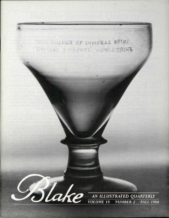HOLUER OF IMMORAL DRINK IVE THE PURPOSE NOW I THINK

■■■■■^^^^^H

Blake

*AN ILLUSTRATED QUARTERLY VOLUME 18 NUMBER 2 FALL 1984*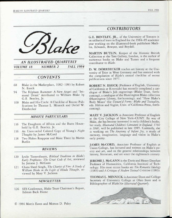

# *AN ILLUSTRATED QUARTERLY VOLUME 18 NUMBER 2 FALL 1984*

## *CONTENTS*

- 68 Blake in the Marketplace, 1982-1983 by Robert N. Essick
- 94 The Felpham Rummer: A New Angel and "Immoral Drink" Attributed to William Blake by G.E. Bentley, Jr.
- 100 Blake and His Circle: A Checklist of Recent Publications by Thomas L. Minnick and Detlef W. **Dörrbecker**

### *MINUTE PARTICULARS*

- 116 The Daughters of Albion and the Butts Household by G.E. Bentley, Jr.
- 116 An Unrecorded Colored Copy of Young's *Night Thoughts* by James McCord
- 118 Two Blakes Reappear and Make Three by Martin Butlin

#### *REVIEWS*

- 120 Leslie Tannenbaum, *Biblical Tradition in Blake's Early Prophecies: The Great Code of Art,* reviewed by Jerome J. McGann
- 121 Charu Sheel Singh, *The Chariot of Fire: A Study of William Blake in the Light of Hindu Thought,* reviewed by Mary V. Jackson

#### *NEWSLETTER*

- 126 STS Conference, Blake Trust Chairman's Report, Editors Back Home
- © 1984 Morris Eaves and Morton D. Paley

# *CONTRIBUTORS*

G.E. BENTLEY, JR., of the University of Toronto is on sabbatical leave in England for the 1984-85 academic year working on the illustrated-book publishers Macklin, Edwards, Bowyer, and Boydell.

MARTIN BUTLIN, Keeper of the Historic British Collection at the Tate Gallery, London, is the author of numerous books on Blake and Turner and a frequent contributor to *Blake.* 

D. W. DORRBECKER teaches art history at the University of Trier in West Germany and has assisted with the compilation of *Blake's* annual checklist of recent publications since 1977.

ROBERT N. ESSICK (Professor of English, University of California at Riverside) has recently completed a catalogue of Blake's Job engravings (Blake Trust, forthcoming), a catalogue of the Huntington Blake collection (Huntington Library, forthcoming), and "How Blake's Body Means" (for *Vnnam'd Forms: Blake and Textuality,*  eds. Hilton and Vogler, Univ. of California Press, forthcoming).

MARY V. JACKSON is Associate Professor of English at the City College of New York-CUNY. By way of Blake, she has become interested in early children's books; her study, Illustrated Children's Literature in England: 1760 *to 1840,* will be published in late 1985. Currently, she is working on *The Anatomy of Infant Joy.* a study of memory, imagination, language and vision in Blake's early poetry.

JAMES McCORD, Associate Professor of English at Union College, has lectured and written on Blake's poetry and art, and on the general relationships between history, literature, and art since the eighteenth century.

**JEROME J. McGANN** is the Doris and Henry Dreyfuss Professor of Humanities, California Institute of Technology. His most recent books are *The Romantic Ideology*  (1983) and *A Critique of Modern Textual Criticism* (1983).

THOMAS L. MINNICK is Assistant Dean and College Secretary of University College at Ohio State and is Bibliographer of *Blake/An Illustrated Quarterly.*